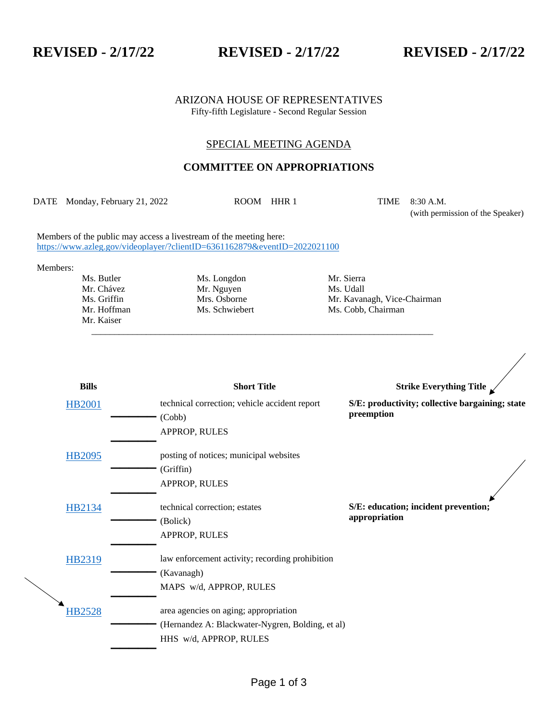## **REVISED - 2/17/22 REVISED - 2/17/22 REVISED - 2/17/22**

ARIZONA HOUSE OF REPRESENTATIVES Fifty-fifth Legislature - Second Regular Session

## SPECIAL MEETING AGENDA

## **COMMITTEE ON APPROPRIATIONS**

DATE Monday, February 21, 2022 ROOM HHR 1 TIME 8:30 A.M.

\_\_\_\_\_\_\_\_\_\_\_\_\_\_\_\_\_\_\_\_\_\_\_\_\_\_\_\_\_\_\_\_\_\_\_\_\_\_\_\_\_\_\_\_\_\_\_\_\_\_\_\_\_\_\_\_\_\_\_\_\_\_\_\_\_\_\_\_\_\_\_\_\_\_\_

(with permission of the Speaker)

Members of the public may access a livestream of the meeting here: <https://www.azleg.gov/videoplayer/?clientID=6361162879&eventID=2022021100>

Members:

Mr. Kaiser

Ms. Butler Ms. Longdon Mr. Sierra Mr. Chávez Mr. Nguyen Ms. Udall

Ms. Griffin Mrs. Osborne Mr. Kavanagh, Vice-Chairman Mr. Hoffman Ms. Schwiebert Ms. Cobb, Chairman Mr. Hoffman Ms. Schwiebert Ms. Cobb, Chairman

| <b>Bills</b>  | <b>Short Title</b>                               | Strike Everything Title $\swarrow$                            |
|---------------|--------------------------------------------------|---------------------------------------------------------------|
| <b>HB2001</b> | technical correction; vehicle accident report    | S/E: productivity; collective bargaining; state<br>preemption |
|               | (Cobb)                                           |                                                               |
|               | APPROP, RULES                                    |                                                               |
| HB2095        | posting of notices; municipal websites           |                                                               |
|               | (Griffin)                                        |                                                               |
|               | APPROP, RULES                                    |                                                               |
|               |                                                  |                                                               |
| HB2134        | technical correction; estates                    | S/E: education; incident prevention;                          |
|               | (Bolick)                                         | appropriation                                                 |
|               | APPROP, RULES                                    |                                                               |
| HB2319        | law enforcement activity; recording prohibition  |                                                               |
|               | (Kavanagh)                                       |                                                               |
|               | MAPS w/d, APPROP, RULES                          |                                                               |
|               |                                                  |                                                               |
| <b>HB2528</b> | area agencies on aging; appropriation            |                                                               |
|               | (Hernandez A: Blackwater-Nygren, Bolding, et al) |                                                               |
|               | HHS w/d, APPROP, RULES                           |                                                               |
|               |                                                  |                                                               |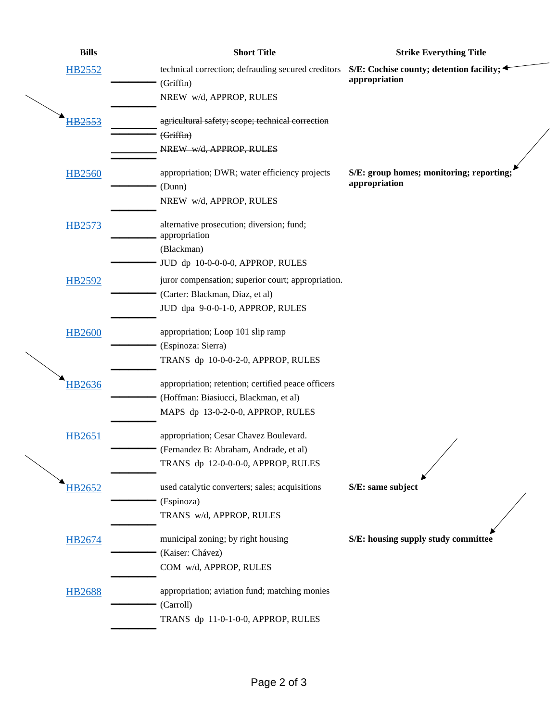| <b>Bills</b>  | <b>Short Title</b>                                                                                          | <b>Strike Everything Title</b>           |
|---------------|-------------------------------------------------------------------------------------------------------------|------------------------------------------|
| HB2552        | technical correction; defrauding secured creditors $S/E$ : Cochise county; detention facility;<br>(Griffin) | appropriation                            |
|               | NREW w/d, APPROP, RULES                                                                                     |                                          |
| HB2553        | agricultural safety; scope; technical correction                                                            |                                          |
|               | (Griffin)                                                                                                   |                                          |
|               | NREW w/d, APPROP, RULES                                                                                     |                                          |
| <b>HB2560</b> | appropriation; DWR; water efficiency projects                                                               | S/E: group homes; monitoring; reporting; |
|               | (Dunn)                                                                                                      | appropriation                            |
|               | NREW w/d, APPROP, RULES                                                                                     |                                          |
| HB2573        | alternative prosecution; diversion; fund;                                                                   |                                          |
|               | appropriation                                                                                               |                                          |
|               | (Blackman)                                                                                                  |                                          |
|               | JUD dp 10-0-0-0-0, APPROP, RULES                                                                            |                                          |
| <b>HB2592</b> | juror compensation; superior court; appropriation.                                                          |                                          |
|               | (Carter: Blackman, Diaz, et al)                                                                             |                                          |
|               | JUD dpa 9-0-0-1-0, APPROP, RULES                                                                            |                                          |
| <b>HB2600</b> | appropriation; Loop 101 slip ramp                                                                           |                                          |
|               | (Espinoza: Sierra)                                                                                          |                                          |
|               | TRANS dp 10-0-0-2-0, APPROP, RULES                                                                          |                                          |
| HB2636        | appropriation; retention; certified peace officers                                                          |                                          |
|               | (Hoffman: Biasiucci, Blackman, et al)                                                                       |                                          |
|               | MAPS dp 13-0-2-0-0, APPROP, RULES                                                                           |                                          |
| HB2651        | appropriation; Cesar Chavez Boulevard.                                                                      |                                          |
|               | (Fernandez B: Abraham, Andrade, et al)                                                                      |                                          |
|               | TRANS dp 12-0-0-0-0, APPROP, RULES                                                                          |                                          |
| HB2652        | used catalytic converters; sales; acquisitions                                                              | S/E: same subject                        |
|               | (Espinoza)                                                                                                  |                                          |
|               | TRANS w/d, APPROP, RULES                                                                                    |                                          |
| HB2674        | municipal zoning; by right housing                                                                          | S/E: housing supply study committee      |
|               | (Kaiser: Chávez)                                                                                            |                                          |
|               | COM w/d, APPROP, RULES                                                                                      |                                          |
| <b>HB2688</b> | appropriation; aviation fund; matching monies                                                               |                                          |
|               | (Carroll)                                                                                                   |                                          |
|               | TRANS dp 11-0-1-0-0, APPROP, RULES                                                                          |                                          |
|               |                                                                                                             |                                          |